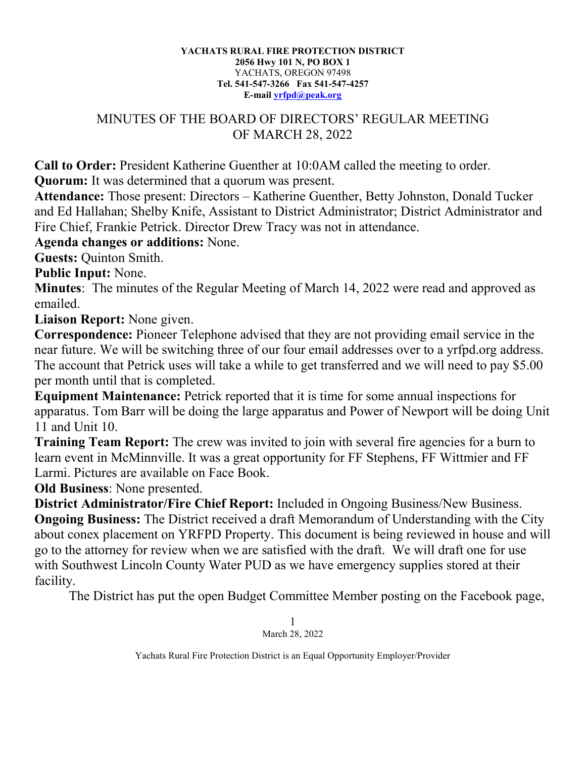## **YACHATS RURAL FIRE PROTECTION DISTRICT 2056 Hwy 101 N, PO BOX 1** YACHATS, OREGON 97498 **Tel. 541-547-3266 Fax 541-547-4257 E-mail [yrfpd@peak.org](mailto:yrfpd@peak.org)**

## MINUTES OF THE BOARD OF DIRECTORS' REGULAR MEETING OF MARCH 28, 2022

**Call to Order:** President Katherine Guenther at 10:0AM called the meeting to order.

**Quorum:** It was determined that a quorum was present.

**Attendance:** Those present: Directors – Katherine Guenther, Betty Johnston, Donald Tucker and Ed Hallahan; Shelby Knife, Assistant to District Administrator; District Administrator and Fire Chief, Frankie Petrick. Director Drew Tracy was not in attendance.

**Agenda changes or additions:** None.

**Guests:** Quinton Smith.

**Public Input:** None.

**Minutes**: The minutes of the Regular Meeting of March 14, 2022 were read and approved as emailed.

**Liaison Report:** None given.

**Correspondence:** Pioneer Telephone advised that they are not providing email service in the near future. We will be switching three of our four email addresses over to a yrfpd.org address. The account that Petrick uses will take a while to get transferred and we will need to pay \$5.00 per month until that is completed.

**Equipment Maintenance:** Petrick reported that it is time for some annual inspections for apparatus. Tom Barr will be doing the large apparatus and Power of Newport will be doing Unit 11 and Unit 10.

**Training Team Report:** The crew was invited to join with several fire agencies for a burn to learn event in McMinnville. It was a great opportunity for FF Stephens, FF Wittmier and FF Larmi. Pictures are available on Face Book.

**Old Business**: None presented.

**District Administrator/Fire Chief Report:** Included in Ongoing Business/New Business. **Ongoing Business:** The District received a draft Memorandum of Understanding with the City about conex placement on YRFPD Property. This document is being reviewed in house and will go to the attorney for review when we are satisfied with the draft. We will draft one for use with Southwest Lincoln County Water PUD as we have emergency supplies stored at their facility.

The District has put the open Budget Committee Member posting on the Facebook page,

1 March 28, 2022

Yachats Rural Fire Protection District is an Equal Opportunity Employer/Provider